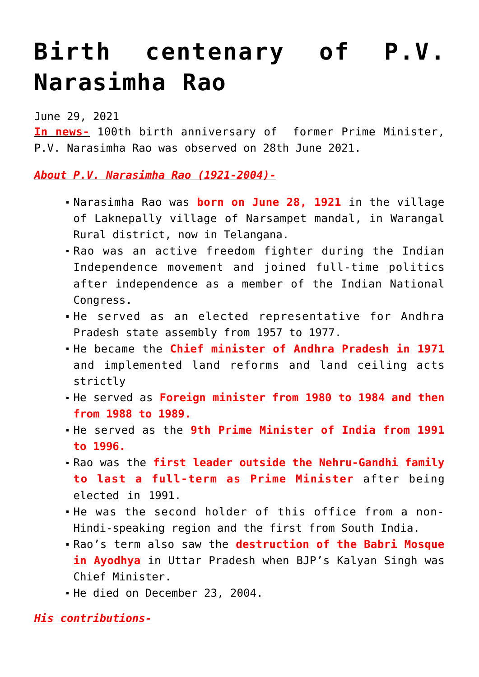## **[Birth centenary of P.V.](https://journalsofindia.com/birth-centenary-of-p-v-narasimha-rao/) [Narasimha Rao](https://journalsofindia.com/birth-centenary-of-p-v-narasimha-rao/)**

June 29, 2021

**In news-** 100th birth anniversary of former Prime Minister, P.V. Narasimha Rao was observed on 28th June 2021.

*About P.V. Narasimha Rao (1921-2004)-*

- Narasimha Rao was **born on June 28, 1921** in the village of Laknepally village of Narsampet mandal, in Warangal Rural district, now in Telangana.
- Rao was an active freedom fighter during the Indian Independence movement and joined full-time politics after independence as a member of the Indian National Congress.
- He served as an elected representative for Andhra Pradesh state assembly from 1957 to 1977.
- He became the **Chief minister of Andhra Pradesh in 1971** and implemented land reforms and land ceiling acts strictly
- He served as **Foreign minister from 1980 to 1984 and then from 1988 to 1989.**
- He served as the **9th Prime Minister of India from 1991 to 1996.**
- Rao was the **first leader outside the Nehru-Gandhi family to last a full-term as Prime Minister** after being elected in 1991.
- He was the second holder of this office from a non-Hindi-speaking region and the first from South India.
- Rao's term also saw the **destruction of the Babri Mosque in Ayodhya** in Uttar Pradesh when BJP's Kalyan Singh was Chief Minister.
- He died on December 23, 2004.

*His contributions-*